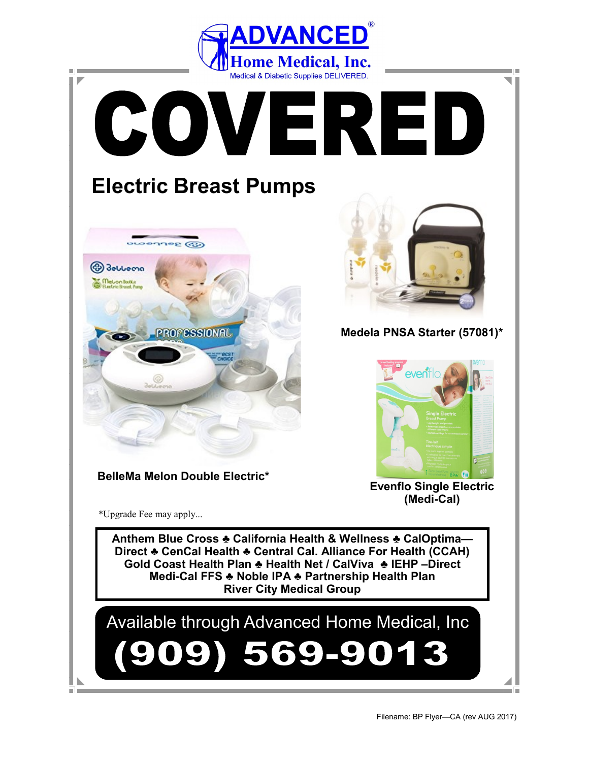